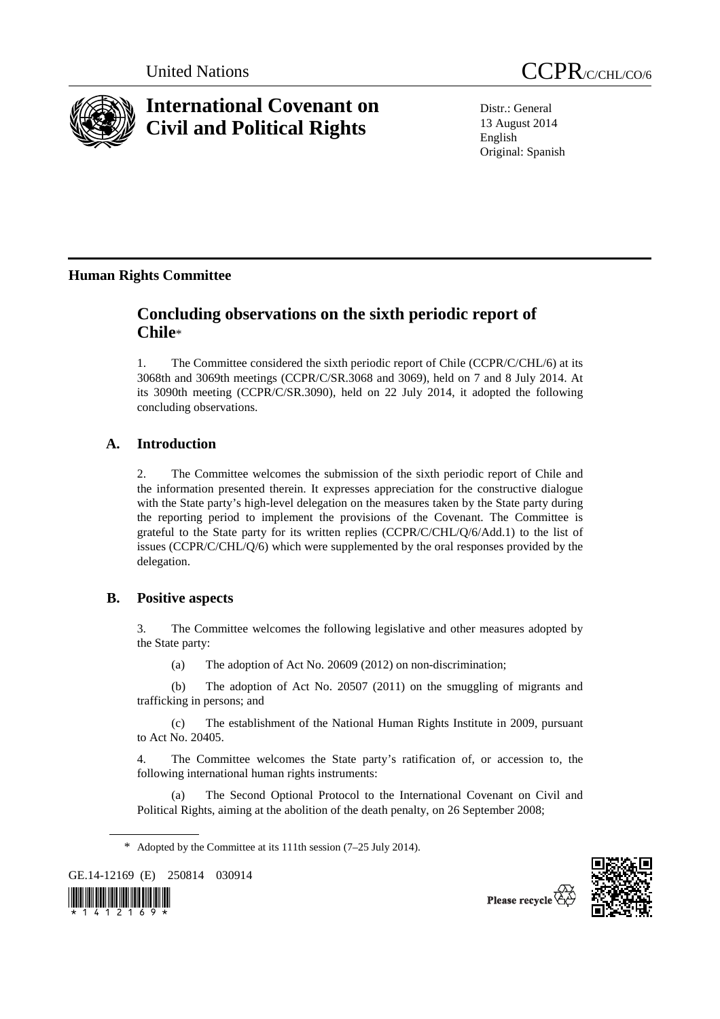

# **International Covenant on Civil and Political Rights**

Distr.: General 13 August 2014 English Original: Spanish

# **Human Rights Committee**

# **Concluding observations on the sixth periodic report of Chile**\*

1. The Committee considered the sixth periodic report of Chile (CCPR/C/CHL/6) at its 3068th and 3069th meetings (CCPR/C/SR.3068 and 3069), held on 7 and 8 July 2014. At its 3090th meeting (CCPR/C/SR.3090), held on 22 July 2014, it adopted the following concluding observations.

# **A. Introduction**

2. The Committee welcomes the submission of the sixth periodic report of Chile and the information presented therein. It expresses appreciation for the constructive dialogue with the State party's high-level delegation on the measures taken by the State party during the reporting period to implement the provisions of the Covenant. The Committee is grateful to the State party for its written replies (CCPR/C/CHL/Q/6/Add.1) to the list of issues (CCPR/C/CHL/Q/6) which were supplemented by the oral responses provided by the delegation.

# **B. Positive aspects**

3. The Committee welcomes the following legislative and other measures adopted by the State party:

(a) The adoption of Act No. 20609 (2012) on non-discrimination;

 (b) The adoption of Act No. 20507 (2011) on the smuggling of migrants and trafficking in persons; and

 (c) The establishment of the National Human Rights Institute in 2009, pursuant to Act No. 20405.

4. The Committee welcomes the State party's ratification of, or accession to, the following international human rights instruments:

 (a) The Second Optional Protocol to the International Covenant on Civil and Political Rights, aiming at the abolition of the death penalty, on 26 September 2008;

GE.14-12169 (E) 250814 030914





<sup>\*</sup> Adopted by the Committee at its 111th session (7–25 July 2014).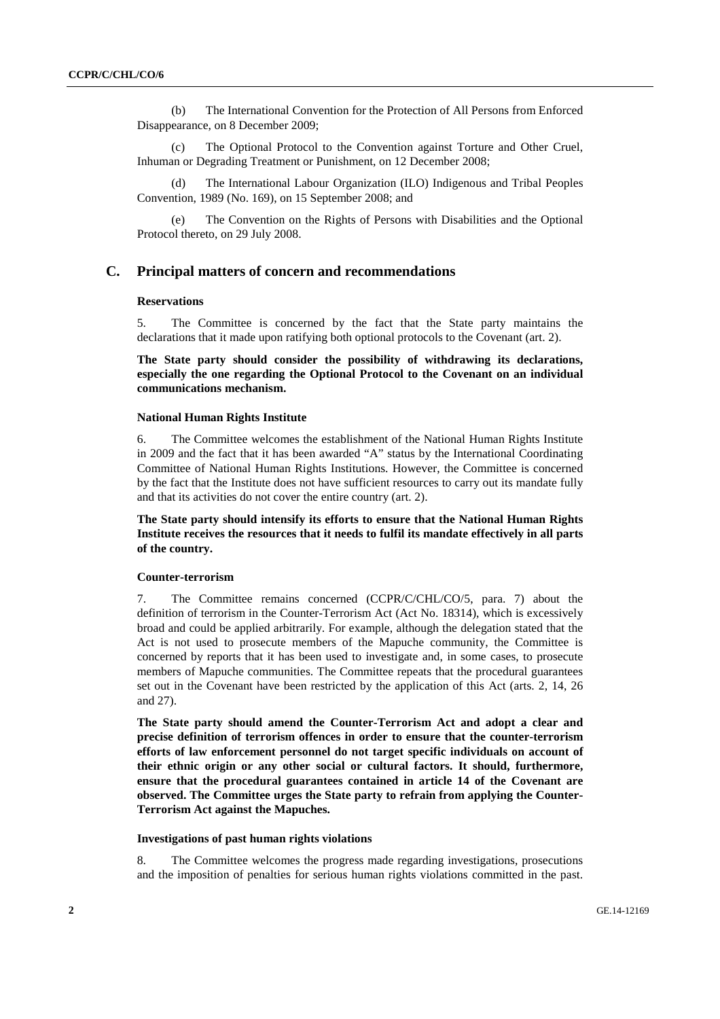(b) The International Convention for the Protection of All Persons from Enforced Disappearance, on 8 December 2009;

 (c) The Optional Protocol to the Convention against Torture and Other Cruel, Inhuman or Degrading Treatment or Punishment, on 12 December 2008;

 (d) The International Labour Organization (ILO) Indigenous and Tribal Peoples Convention, 1989 (No. 169), on 15 September 2008; and

 (e) The Convention on the Rights of Persons with Disabilities and the Optional Protocol thereto, on 29 July 2008.

# **C. Principal matters of concern and recommendations**

#### **Reservations**

5. The Committee is concerned by the fact that the State party maintains the declarations that it made upon ratifying both optional protocols to the Covenant (art. 2).

**The State party should consider the possibility of withdrawing its declarations, especially the one regarding the Optional Protocol to the Covenant on an individual communications mechanism.** 

#### **National Human Rights Institute**

6. The Committee welcomes the establishment of the National Human Rights Institute in 2009 and the fact that it has been awarded "A" status by the International Coordinating Committee of National Human Rights Institutions. However, the Committee is concerned by the fact that the Institute does not have sufficient resources to carry out its mandate fully and that its activities do not cover the entire country (art. 2).

**The State party should intensify its efforts to ensure that the National Human Rights Institute receives the resources that it needs to fulfil its mandate effectively in all parts of the country.** 

#### **Counter-terrorism**

7. The Committee remains concerned (CCPR/C/CHL/CO/5, para. 7) about the definition of terrorism in the Counter-Terrorism Act (Act No. 18314), which is excessively broad and could be applied arbitrarily. For example, although the delegation stated that the Act is not used to prosecute members of the Mapuche community, the Committee is concerned by reports that it has been used to investigate and, in some cases, to prosecute members of Mapuche communities. The Committee repeats that the procedural guarantees set out in the Covenant have been restricted by the application of this Act (arts. 2, 14, 26 and 27).

**The State party should amend the Counter-Terrorism Act and adopt a clear and precise definition of terrorism offences in order to ensure that the counter-terrorism efforts of law enforcement personnel do not target specific individuals on account of their ethnic origin or any other social or cultural factors. It should, furthermore, ensure that the procedural guarantees contained in article 14 of the Covenant are observed. The Committee urges the State party to refrain from applying the Counter-Terrorism Act against the Mapuches.** 

#### **Investigations of past human rights violations**

8. The Committee welcomes the progress made regarding investigations, prosecutions and the imposition of penalties for serious human rights violations committed in the past.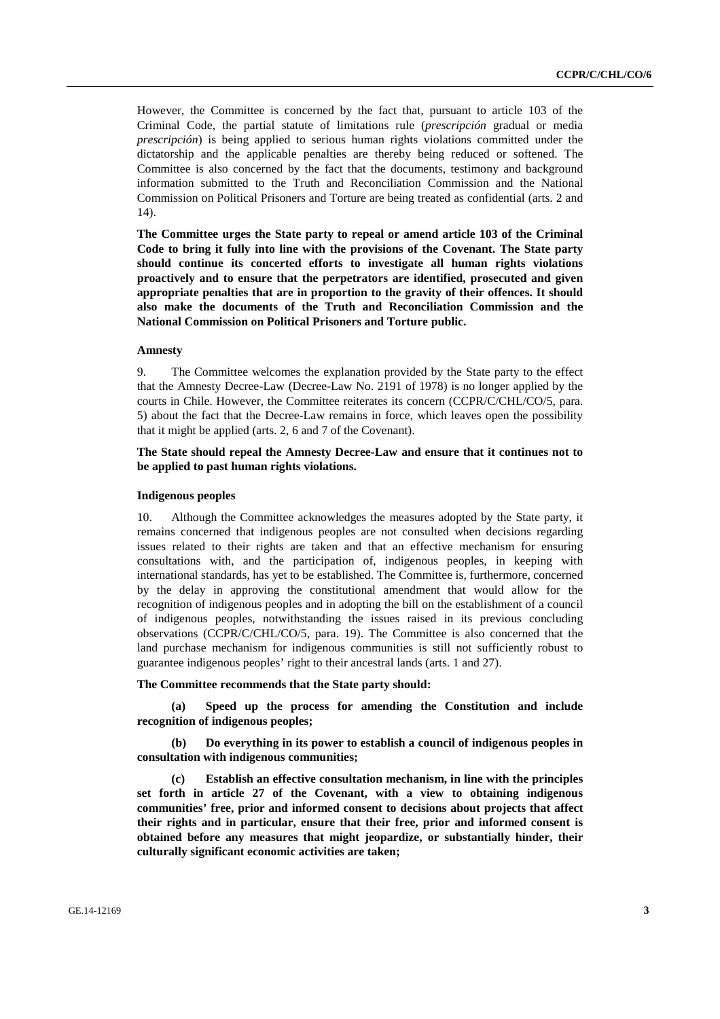However, the Committee is concerned by the fact that, pursuant to article 103 of the Criminal Code, the partial statute of limitations rule (*prescripción* gradual or media *prescripción*) is being applied to serious human rights violations committed under the dictatorship and the applicable penalties are thereby being reduced or softened. The Committee is also concerned by the fact that the documents, testimony and background information submitted to the Truth and Reconciliation Commission and the National Commission on Political Prisoners and Torture are being treated as confidential (arts. 2 and 14).

**The Committee urges the State party to repeal or amend article 103 of the Criminal Code to bring it fully into line with the provisions of the Covenant. The State party should continue its concerted efforts to investigate all human rights violations proactively and to ensure that the perpetrators are identified, prosecuted and given appropriate penalties that are in proportion to the gravity of their offences. It should also make the documents of the Truth and Reconciliation Commission and the National Commission on Political Prisoners and Torture public.** 

### **Amnesty**

9. The Committee welcomes the explanation provided by the State party to the effect that the Amnesty Decree-Law (Decree-Law No. 2191 of 1978) is no longer applied by the courts in Chile. However, the Committee reiterates its concern (CCPR/C/CHL/CO/5, para. 5) about the fact that the Decree-Law remains in force, which leaves open the possibility that it might be applied (arts. 2, 6 and 7 of the Covenant).

### **The State should repeal the Amnesty Decree-Law and ensure that it continues not to be applied to past human rights violations.**

#### **Indigenous peoples**

10. Although the Committee acknowledges the measures adopted by the State party, it remains concerned that indigenous peoples are not consulted when decisions regarding issues related to their rights are taken and that an effective mechanism for ensuring consultations with, and the participation of, indigenous peoples, in keeping with international standards, has yet to be established. The Committee is, furthermore, concerned by the delay in approving the constitutional amendment that would allow for the recognition of indigenous peoples and in adopting the bill on the establishment of a council of indigenous peoples, notwithstanding the issues raised in its previous concluding observations (CCPR/C/CHL/CO/5, para. 19). The Committee is also concerned that the land purchase mechanism for indigenous communities is still not sufficiently robust to guarantee indigenous peoples' right to their ancestral lands (arts. 1 and 27).

#### **The Committee recommends that the State party should:**

 **(a) Speed up the process for amending the Constitution and include recognition of indigenous peoples;** 

 **(b) Do everything in its power to establish a council of indigenous peoples in consultation with indigenous communities;** 

 **(c) Establish an effective consultation mechanism, in line with the principles set forth in article 27 of the Covenant, with a view to obtaining indigenous communities' free, prior and informed consent to decisions about projects that affect their rights and in particular, ensure that their free, prior and informed consent is obtained before any measures that might jeopardize, or substantially hinder, their culturally significant economic activities are taken;**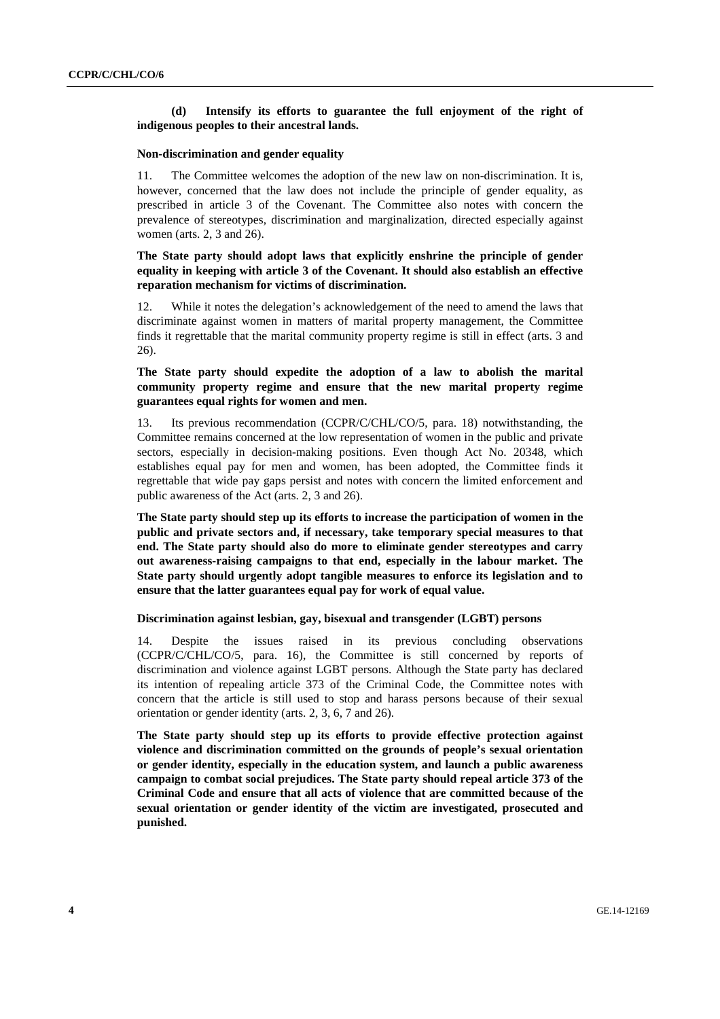# **(d) Intensify its efforts to guarantee the full enjoyment of the right of indigenous peoples to their ancestral lands.**

#### **Non-discrimination and gender equality**

11. The Committee welcomes the adoption of the new law on non-discrimination. It is, however, concerned that the law does not include the principle of gender equality, as prescribed in article 3 of the Covenant. The Committee also notes with concern the prevalence of stereotypes, discrimination and marginalization, directed especially against women (arts. 2, 3 and 26).

# **The State party should adopt laws that explicitly enshrine the principle of gender equality in keeping with article 3 of the Covenant. It should also establish an effective reparation mechanism for victims of discrimination.**

12. While it notes the delegation's acknowledgement of the need to amend the laws that discriminate against women in matters of marital property management, the Committee finds it regrettable that the marital community property regime is still in effect (arts. 3 and 26).

# **The State party should expedite the adoption of a law to abolish the marital community property regime and ensure that the new marital property regime guarantees equal rights for women and men.**

13. Its previous recommendation (CCPR/C/CHL/CO/5, para. 18) notwithstanding, the Committee remains concerned at the low representation of women in the public and private sectors, especially in decision-making positions. Even though Act No. 20348, which establishes equal pay for men and women, has been adopted, the Committee finds it regrettable that wide pay gaps persist and notes with concern the limited enforcement and public awareness of the Act (arts. 2, 3 and 26).

**The State party should step up its efforts to increase the participation of women in the public and private sectors and, if necessary, take temporary special measures to that end. The State party should also do more to eliminate gender stereotypes and carry out awareness-raising campaigns to that end, especially in the labour market. The State party should urgently adopt tangible measures to enforce its legislation and to ensure that the latter guarantees equal pay for work of equal value.** 

# **Discrimination against lesbian, gay, bisexual and transgender (LGBT) persons**

14. Despite the issues raised in its previous concluding observations (CCPR/C/CHL/CO/5, para. 16), the Committee is still concerned by reports of discrimination and violence against LGBT persons. Although the State party has declared its intention of repealing article 373 of the Criminal Code, the Committee notes with concern that the article is still used to stop and harass persons because of their sexual orientation or gender identity (arts. 2, 3, 6, 7 and 26).

**The State party should step up its efforts to provide effective protection against violence and discrimination committed on the grounds of people's sexual orientation or gender identity, especially in the education system, and launch a public awareness campaign to combat social prejudices. The State party should repeal article 373 of the Criminal Code and ensure that all acts of violence that are committed because of the sexual orientation or gender identity of the victim are investigated, prosecuted and punished.**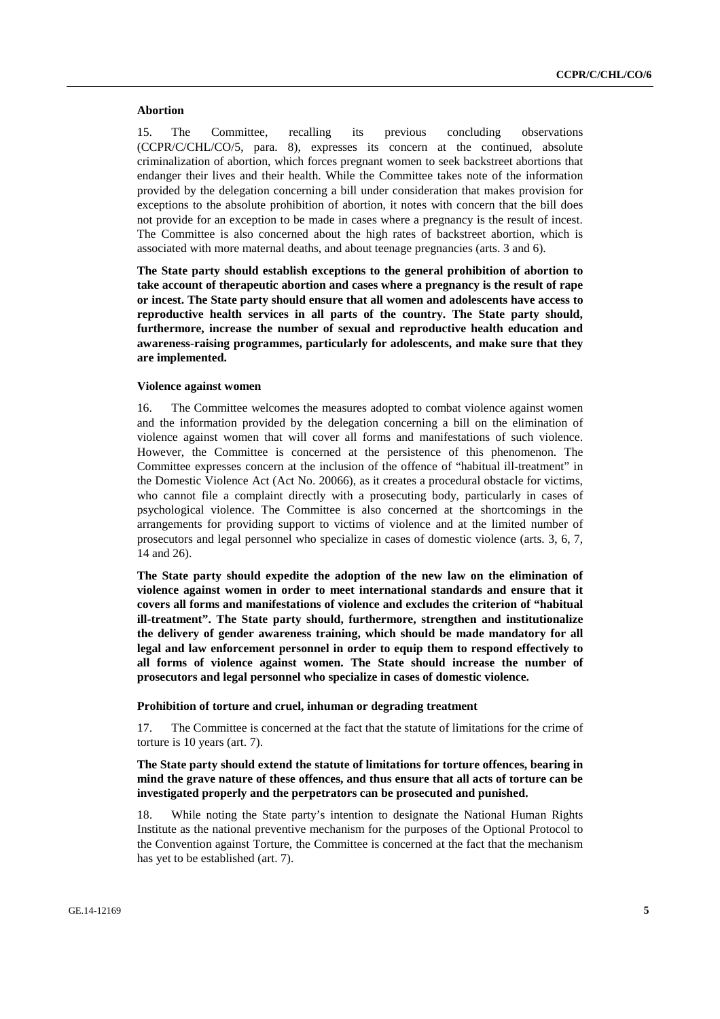#### **Abortion**

15. The Committee, recalling its previous concluding observations (CCPR/C/CHL/CO/5, para. 8), expresses its concern at the continued, absolute criminalization of abortion, which forces pregnant women to seek backstreet abortions that endanger their lives and their health. While the Committee takes note of the information provided by the delegation concerning a bill under consideration that makes provision for exceptions to the absolute prohibition of abortion, it notes with concern that the bill does not provide for an exception to be made in cases where a pregnancy is the result of incest. The Committee is also concerned about the high rates of backstreet abortion, which is associated with more maternal deaths, and about teenage pregnancies (arts. 3 and 6).

**The State party should establish exceptions to the general prohibition of abortion to take account of therapeutic abortion and cases where a pregnancy is the result of rape or incest. The State party should ensure that all women and adolescents have access to reproductive health services in all parts of the country. The State party should, furthermore, increase the number of sexual and reproductive health education and awareness-raising programmes, particularly for adolescents, and make sure that they are implemented.** 

#### **Violence against women**

16. The Committee welcomes the measures adopted to combat violence against women and the information provided by the delegation concerning a bill on the elimination of violence against women that will cover all forms and manifestations of such violence. However, the Committee is concerned at the persistence of this phenomenon. The Committee expresses concern at the inclusion of the offence of "habitual ill-treatment" in the Domestic Violence Act (Act No. 20066), as it creates a procedural obstacle for victims, who cannot file a complaint directly with a prosecuting body, particularly in cases of psychological violence. The Committee is also concerned at the shortcomings in the arrangements for providing support to victims of violence and at the limited number of prosecutors and legal personnel who specialize in cases of domestic violence (arts. 3, 6, 7, 14 and 26).

**The State party should expedite the adoption of the new law on the elimination of violence against women in order to meet international standards and ensure that it covers all forms and manifestations of violence and excludes the criterion of "habitual ill-treatment". The State party should, furthermore, strengthen and institutionalize the delivery of gender awareness training, which should be made mandatory for all legal and law enforcement personnel in order to equip them to respond effectively to all forms of violence against women. The State should increase the number of prosecutors and legal personnel who specialize in cases of domestic violence.** 

#### **Prohibition of torture and cruel, inhuman or degrading treatment**

17. The Committee is concerned at the fact that the statute of limitations for the crime of torture is 10 years (art. 7).

# **The State party should extend the statute of limitations for torture offences, bearing in mind the grave nature of these offences, and thus ensure that all acts of torture can be investigated properly and the perpetrators can be prosecuted and punished.**

18. While noting the State party's intention to designate the National Human Rights Institute as the national preventive mechanism for the purposes of the Optional Protocol to the Convention against Torture, the Committee is concerned at the fact that the mechanism has yet to be established (art. 7).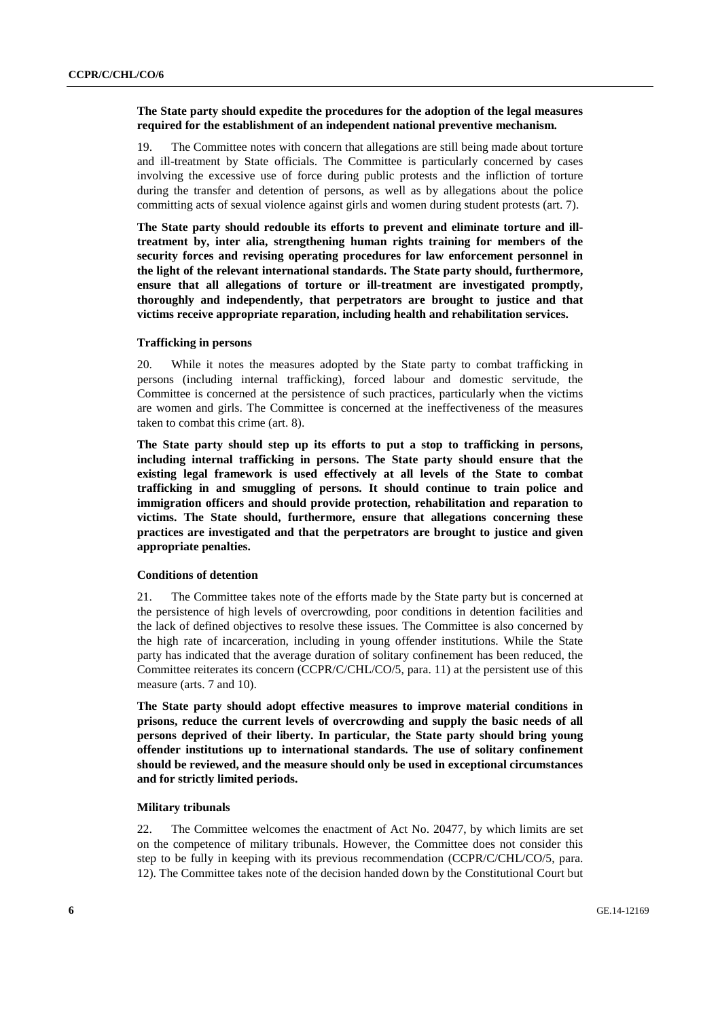# **The State party should expedite the procedures for the adoption of the legal measures required for the establishment of an independent national preventive mechanism.**

19. The Committee notes with concern that allegations are still being made about torture and ill-treatment by State officials. The Committee is particularly concerned by cases involving the excessive use of force during public protests and the infliction of torture during the transfer and detention of persons, as well as by allegations about the police committing acts of sexual violence against girls and women during student protests (art. 7).

**The State party should redouble its efforts to prevent and eliminate torture and illtreatment by, inter alia, strengthening human rights training for members of the security forces and revising operating procedures for law enforcement personnel in the light of the relevant international standards. The State party should, furthermore, ensure that all allegations of torture or ill-treatment are investigated promptly, thoroughly and independently, that perpetrators are brought to justice and that victims receive appropriate reparation, including health and rehabilitation services.** 

#### **Trafficking in persons**

20. While it notes the measures adopted by the State party to combat trafficking in persons (including internal trafficking), forced labour and domestic servitude, the Committee is concerned at the persistence of such practices, particularly when the victims are women and girls. The Committee is concerned at the ineffectiveness of the measures taken to combat this crime (art. 8).

**The State party should step up its efforts to put a stop to trafficking in persons, including internal trafficking in persons. The State party should ensure that the existing legal framework is used effectively at all levels of the State to combat trafficking in and smuggling of persons. It should continue to train police and immigration officers and should provide protection, rehabilitation and reparation to victims. The State should, furthermore, ensure that allegations concerning these practices are investigated and that the perpetrators are brought to justice and given appropriate penalties.** 

# **Conditions of detention**

21. The Committee takes note of the efforts made by the State party but is concerned at the persistence of high levels of overcrowding, poor conditions in detention facilities and the lack of defined objectives to resolve these issues. The Committee is also concerned by the high rate of incarceration, including in young offender institutions. While the State party has indicated that the average duration of solitary confinement has been reduced, the Committee reiterates its concern (CCPR/C/CHL/CO/5, para. 11) at the persistent use of this measure (arts. 7 and 10).

**The State party should adopt effective measures to improve material conditions in prisons, reduce the current levels of overcrowding and supply the basic needs of all persons deprived of their liberty. In particular, the State party should bring young offender institutions up to international standards. The use of solitary confinement should be reviewed, and the measure should only be used in exceptional circumstances and for strictly limited periods.** 

#### **Military tribunals**

22. The Committee welcomes the enactment of Act No. 20477, by which limits are set on the competence of military tribunals. However, the Committee does not consider this step to be fully in keeping with its previous recommendation (CCPR/C/CHL/CO/5, para. 12). The Committee takes note of the decision handed down by the Constitutional Court but